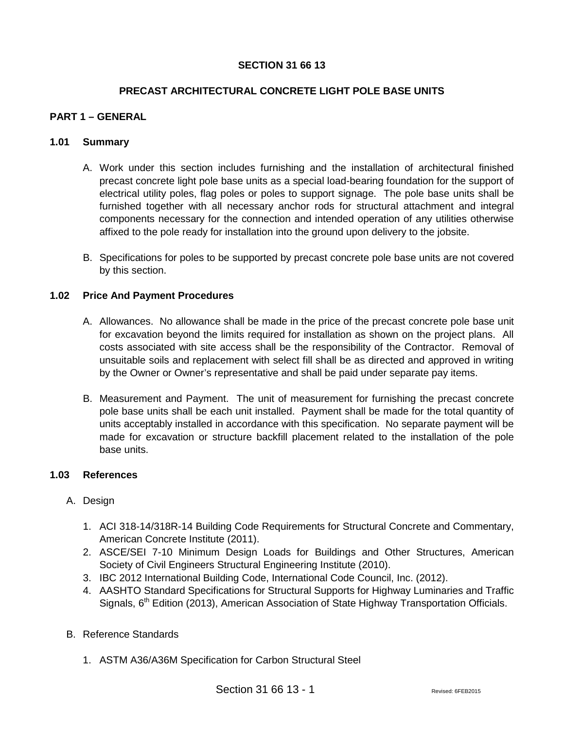## **SECTION 31 66 13**

### **PRECAST ARCHITECTURAL CONCRETE LIGHT POLE BASE UNITS**

### **PART 1 – GENERAL**

#### **1.01 Summary**

- A. Work under this section includes furnishing and the installation of architectural finished precast concrete light pole base units as a special load-bearing foundation for the support of electrical utility poles, flag poles or poles to support signage. The pole base units shall be furnished together with all necessary anchor rods for structural attachment and integral components necessary for the connection and intended operation of any utilities otherwise affixed to the pole ready for installation into the ground upon delivery to the jobsite.
- B. Specifications for poles to be supported by precast concrete pole base units are not covered by this section.

#### **1.02 Price And Payment Procedures**

- A. Allowances. No allowance shall be made in the price of the precast concrete pole base unit for excavation beyond the limits required for installation as shown on the project plans. All costs associated with site access shall be the responsibility of the Contractor. Removal of unsuitable soils and replacement with select fill shall be as directed and approved in writing by the Owner or Owner's representative and shall be paid under separate pay items.
- B. Measurement and Payment. The unit of measurement for furnishing the precast concrete pole base units shall be each unit installed. Payment shall be made for the total quantity of units acceptably installed in accordance with this specification. No separate payment will be made for excavation or structure backfill placement related to the installation of the pole base units.

#### **1.03 References**

#### A. Design

- 1. ACI 318-14/318R-14 Building Code Requirements for Structural Concrete and Commentary, American Concrete Institute (2011).
- 2. ASCE/SEI 7-10 Minimum Design Loads for Buildings and Other Structures, American Society of Civil Engineers Structural Engineering Institute (2010).
- 3. IBC 2012 International Building Code, International Code Council, Inc. (2012).
- 4. AASHTO Standard Specifications for Structural Supports for Highway Luminaries and Traffic Signals, 6<sup>th</sup> Edition (2013), American Association of State Highway Transportation Officials.
- B. Reference Standards
	- 1. ASTM A36/A36M Specification for Carbon Structural Steel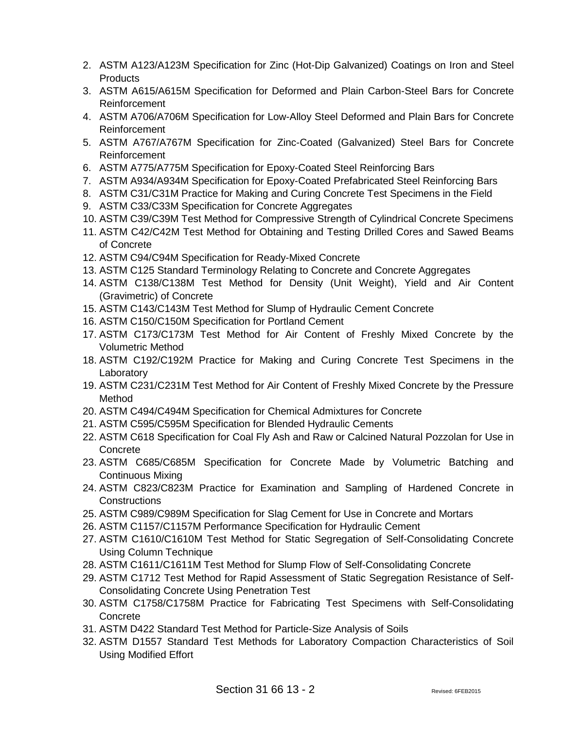- 2. ASTM A123/A123M Specification for Zinc (Hot-Dip Galvanized) Coatings on Iron and Steel **Products**
- 3. ASTM A615/A615M Specification for Deformed and Plain Carbon-Steel Bars for Concrete Reinforcement
- 4. ASTM A706/A706M Specification for Low-Alloy Steel Deformed and Plain Bars for Concrete Reinforcement
- 5. ASTM A767/A767M Specification for Zinc-Coated (Galvanized) Steel Bars for Concrete Reinforcement
- 6. ASTM A775/A775M Specification for Epoxy-Coated Steel Reinforcing Bars
- 7. ASTM A934/A934M Specification for Epoxy-Coated Prefabricated Steel Reinforcing Bars
- 8. ASTM C31/C31M Practice for Making and Curing Concrete Test Specimens in the Field
- 9. ASTM C33/C33M Specification for Concrete Aggregates
- 10. ASTM C39/C39M Test Method for Compressive Strength of Cylindrical Concrete Specimens
- 11. ASTM C42/C42M Test Method for Obtaining and Testing Drilled Cores and Sawed Beams of Concrete
- 12. ASTM C94/C94M Specification for Ready-Mixed Concrete
- 13. ASTM C125 Standard Terminology Relating to Concrete and Concrete Aggregates
- 14. ASTM C138/C138M Test Method for Density (Unit Weight), Yield and Air Content (Gravimetric) of Concrete
- 15. ASTM C143/C143M Test Method for Slump of Hydraulic Cement Concrete
- 16. ASTM C150/C150M Specification for Portland Cement
- 17. ASTM C173/C173M Test Method for Air Content of Freshly Mixed Concrete by the Volumetric Method
- 18. ASTM C192/C192M Practice for Making and Curing Concrete Test Specimens in the Laboratory
- 19. ASTM C231/C231M Test Method for Air Content of Freshly Mixed Concrete by the Pressure Method
- 20. ASTM C494/C494M Specification for Chemical Admixtures for Concrete
- 21. ASTM C595/C595M Specification for Blended Hydraulic Cements
- 22. ASTM C618 Specification for Coal Fly Ash and Raw or Calcined Natural Pozzolan for Use in Concrete
- 23. ASTM C685/C685M Specification for Concrete Made by Volumetric Batching and Continuous Mixing
- 24. ASTM C823/C823M Practice for Examination and Sampling of Hardened Concrete in Constructions
- 25. ASTM C989/C989M Specification for Slag Cement for Use in Concrete and Mortars
- 26. ASTM C1157/C1157M Performance Specification for Hydraulic Cement
- 27. ASTM C1610/C1610M Test Method for Static Segregation of Self-Consolidating Concrete Using Column Technique
- 28. ASTM C1611/C1611M Test Method for Slump Flow of Self-Consolidating Concrete
- 29. ASTM C1712 Test Method for Rapid Assessment of Static Segregation Resistance of Self-Consolidating Concrete Using Penetration Test
- 30. ASTM C1758/C1758M Practice for Fabricating Test Specimens with Self-Consolidating **Concrete**
- 31. ASTM D422 Standard Test Method for Particle-Size Analysis of Soils
- 32. ASTM D1557 Standard Test Methods for Laboratory Compaction Characteristics of Soil Using Modified Effort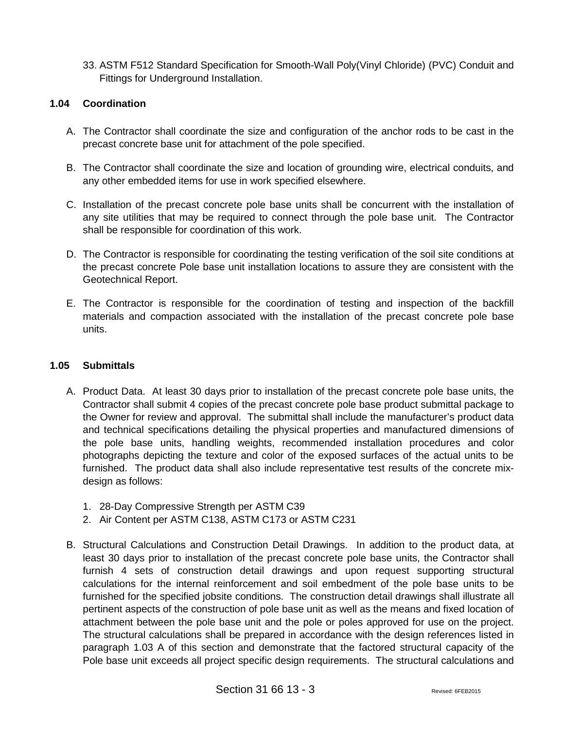33. ASTM F512 Standard Specification for Smooth-Wall Poly(Vinyl Chloride) (PVC) Conduit and Fittings for Underground Installation.

### **1.04 Coordination**

- A. The Contractor shall coordinate the size and configuration of the anchor rods to be cast in the precast concrete base unit for attachment of the pole specified.
- B. The Contractor shall coordinate the size and location of grounding wire, electrical conduits, and any other embedded items for use in work specified elsewhere.
- C. Installation of the precast concrete pole base units shall be concurrent with the installation of any site utilities that may be required to connect through the pole base unit. The Contractor shall be responsible for coordination of this work.
- D. The Contractor is responsible for coordinating the testing verification of the soil site conditions at the precast concrete Pole base unit installation locations to assure they are consistent with the Geotechnical Report.
- E. The Contractor is responsible for the coordination of testing and inspection of the backfill materials and compaction associated with the installation of the precast concrete pole base units.

### **1.05 Submittals**

- A. Product Data. At least 30 days prior to installation of the precast concrete pole base units, the Contractor shall submit 4 copies of the precast concrete pole base product submittal package to the Owner for review and approval. The submittal shall include the manufacturer's product data and technical specifications detailing the physical properties and manufactured dimensions of the pole base units, handling weights, recommended installation procedures and color photographs depicting the texture and color of the exposed surfaces of the actual units to be furnished. The product data shall also include representative test results of the concrete mixdesign as follows:
	- 1. 28-Day Compressive Strength per ASTM C39
	- 2. Air Content per ASTM C138, ASTM C173 or ASTM C231
- B. Structural Calculations and Construction Detail Drawings. In addition to the product data, at least 30 days prior to installation of the precast concrete pole base units, the Contractor shall furnish 4 sets of construction detail drawings and upon request supporting structural calculations for the internal reinforcement and soil embedment of the pole base units to be furnished for the specified jobsite conditions. The construction detail drawings shall illustrate all pertinent aspects of the construction of pole base unit as well as the means and fixed location of attachment between the pole base unit and the pole or poles approved for use on the project. The structural calculations shall be prepared in accordance with the design references listed in paragraph 1.03 A of this section and demonstrate that the factored structural capacity of the Pole base unit exceeds all project specific design requirements. The structural calculations and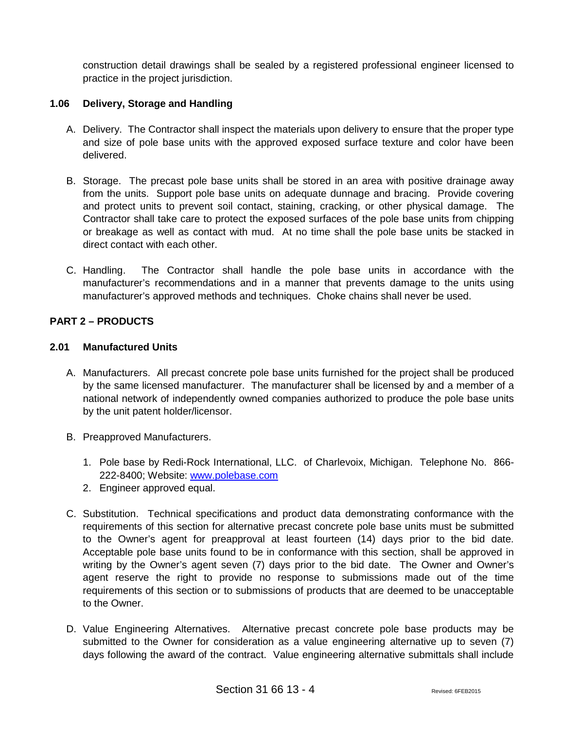construction detail drawings shall be sealed by a registered professional engineer licensed to practice in the project jurisdiction.

## **1.06 Delivery, Storage and Handling**

- A. Delivery. The Contractor shall inspect the materials upon delivery to ensure that the proper type and size of pole base units with the approved exposed surface texture and color have been delivered.
- B. Storage. The precast pole base units shall be stored in an area with positive drainage away from the units. Support pole base units on adequate dunnage and bracing. Provide covering and protect units to prevent soil contact, staining, cracking, or other physical damage. The Contractor shall take care to protect the exposed surfaces of the pole base units from chipping or breakage as well as contact with mud. At no time shall the pole base units be stacked in direct contact with each other.
- C. Handling. The Contractor shall handle the pole base units in accordance with the manufacturer's recommendations and in a manner that prevents damage to the units using manufacturer's approved methods and techniques. Choke chains shall never be used.

# **PART 2 – PRODUCTS**

### **2.01 Manufactured Units**

- A. Manufacturers. All precast concrete pole base units furnished for the project shall be produced by the same licensed manufacturer. The manufacturer shall be licensed by and a member of a national network of independently owned companies authorized to produce the pole base units by the unit patent holder/licensor.
- B. Preapproved Manufacturers.
	- 1. Pole base by Redi-Rock International, LLC. of Charlevoix, Michigan. Telephone No. 866- 222-8400; Website: [www.polebase.com](http://www.polebase.com/)
	- 2. Engineer approved equal.
- C. Substitution. Technical specifications and product data demonstrating conformance with the requirements of this section for alternative precast concrete pole base units must be submitted to the Owner's agent for preapproval at least fourteen (14) days prior to the bid date. Acceptable pole base units found to be in conformance with this section, shall be approved in writing by the Owner's agent seven (7) days prior to the bid date. The Owner and Owner's agent reserve the right to provide no response to submissions made out of the time requirements of this section or to submissions of products that are deemed to be unacceptable to the Owner.
- D. Value Engineering Alternatives. Alternative precast concrete pole base products may be submitted to the Owner for consideration as a value engineering alternative up to seven (7) days following the award of the contract. Value engineering alternative submittals shall include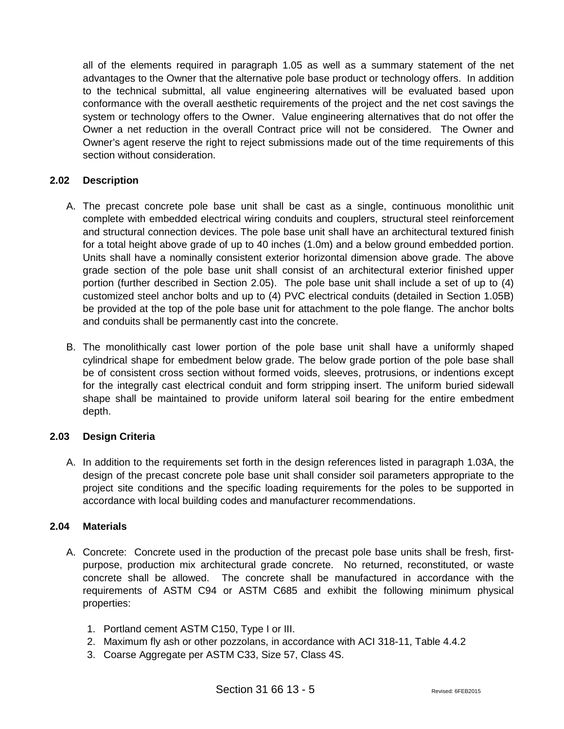all of the elements required in paragraph 1.05 as well as a summary statement of the net advantages to the Owner that the alternative pole base product or technology offers. In addition to the technical submittal, all value engineering alternatives will be evaluated based upon conformance with the overall aesthetic requirements of the project and the net cost savings the system or technology offers to the Owner. Value engineering alternatives that do not offer the Owner a net reduction in the overall Contract price will not be considered. The Owner and Owner's agent reserve the right to reject submissions made out of the time requirements of this section without consideration.

## **2.02 Description**

- A. The precast concrete pole base unit shall be cast as a single, continuous monolithic unit complete with embedded electrical wiring conduits and couplers, structural steel reinforcement and structural connection devices. The pole base unit shall have an architectural textured finish for a total height above grade of up to 40 inches (1.0m) and a below ground embedded portion. Units shall have a nominally consistent exterior horizontal dimension above grade. The above grade section of the pole base unit shall consist of an architectural exterior finished upper portion (further described in Section 2.05). The pole base unit shall include a set of up to (4) customized steel anchor bolts and up to (4) PVC electrical conduits (detailed in Section 1.05B) be provided at the top of the pole base unit for attachment to the pole flange. The anchor bolts and conduits shall be permanently cast into the concrete.
- B. The monolithically cast lower portion of the pole base unit shall have a uniformly shaped cylindrical shape for embedment below grade. The below grade portion of the pole base shall be of consistent cross section without formed voids, sleeves, protrusions, or indentions except for the integrally cast electrical conduit and form stripping insert. The uniform buried sidewall shape shall be maintained to provide uniform lateral soil bearing for the entire embedment depth.

### **2.03 Design Criteria**

A. In addition to the requirements set forth in the design references listed in paragraph 1.03A, the design of the precast concrete pole base unit shall consider soil parameters appropriate to the project site conditions and the specific loading requirements for the poles to be supported in accordance with local building codes and manufacturer recommendations.

## **2.04 Materials**

- A. Concrete: Concrete used in the production of the precast pole base units shall be fresh, firstpurpose, production mix architectural grade concrete. No returned, reconstituted, or waste concrete shall be allowed. The concrete shall be manufactured in accordance with the requirements of ASTM C94 or ASTM C685 and exhibit the following minimum physical properties:
	- 1. Portland cement ASTM C150, Type I or III.
	- 2. Maximum fly ash or other pozzolans, in accordance with ACI 318-11, Table 4.4.2
	- 3. Coarse Aggregate per ASTM C33, Size 57, Class 4S.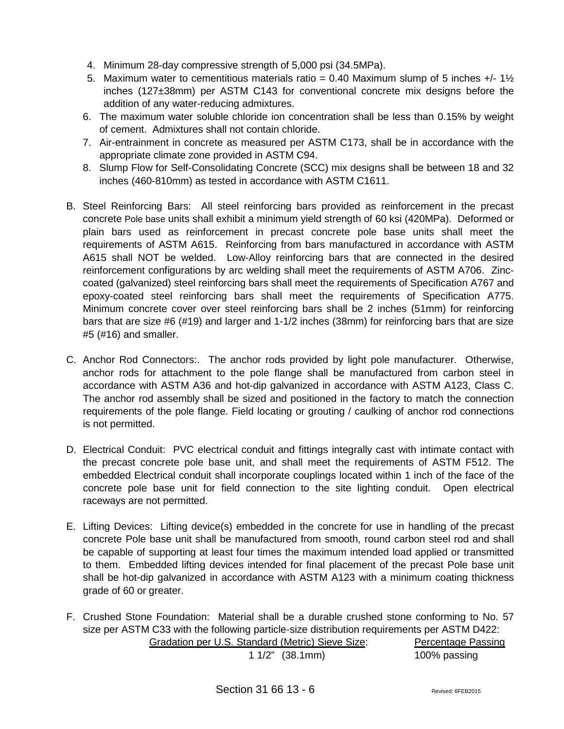- 4. Minimum 28-day compressive strength of 5,000 psi (34.5MPa).
- 5. Maximum water to cementitious materials ratio = 0.40 Maximum slump of 5 inches  $+/-1\frac{1}{2}$ inches (127±38mm) per ASTM C143 for conventional concrete mix designs before the addition of any water-reducing admixtures.
- 6. The maximum water soluble chloride ion concentration shall be less than 0.15% by weight of cement. Admixtures shall not contain chloride.
- 7. Air-entrainment in concrete as measured per ASTM C173, shall be in accordance with the appropriate climate zone provided in ASTM C94.
- 8. Slump Flow for Self-Consolidating Concrete (SCC) mix designs shall be between 18 and 32 inches (460-810mm) as tested in accordance with ASTM C1611.
- B. Steel Reinforcing Bars: All steel reinforcing bars provided as reinforcement in the precast concrete Pole base units shall exhibit a minimum yield strength of 60 ksi (420MPa). Deformed or plain bars used as reinforcement in precast concrete pole base units shall meet the requirements of ASTM A615. Reinforcing from bars manufactured in accordance with ASTM A615 shall NOT be welded. Low-Alloy reinforcing bars that are connected in the desired reinforcement configurations by arc welding shall meet the requirements of ASTM A706. Zinccoated (galvanized) steel reinforcing bars shall meet the requirements of Specification A767 and epoxy-coated steel reinforcing bars shall meet the requirements of Specification A775. Minimum concrete cover over steel reinforcing bars shall be 2 inches (51mm) for reinforcing bars that are size #6 (#19) and larger and 1-1/2 inches (38mm) for reinforcing bars that are size #5 (#16) and smaller.
- C. Anchor Rod Connectors:. The anchor rods provided by light pole manufacturer. Otherwise, anchor rods for attachment to the pole flange shall be manufactured from carbon steel in accordance with ASTM A36 and hot-dip galvanized in accordance with ASTM A123, Class C. The anchor rod assembly shall be sized and positioned in the factory to match the connection requirements of the pole flange. Field locating or grouting / caulking of anchor rod connections is not permitted.
- D. Electrical Conduit: PVC electrical conduit and fittings integrally cast with intimate contact with the precast concrete pole base unit, and shall meet the requirements of ASTM F512. The embedded Electrical conduit shall incorporate couplings located within 1 inch of the face of the concrete pole base unit for field connection to the site lighting conduit. Open electrical raceways are not permitted.
- E. Lifting Devices: Lifting device(s) embedded in the concrete for use in handling of the precast concrete Pole base unit shall be manufactured from smooth, round carbon steel rod and shall be capable of supporting at least four times the maximum intended load applied or transmitted to them. Embedded lifting devices intended for final placement of the precast Pole base unit shall be hot-dip galvanized in accordance with ASTM A123 with a minimum coating thickness grade of 60 or greater.
- F. Crushed Stone Foundation: Material shall be a durable crushed stone conforming to No. 57 size per ASTM C33 with the following particle-size distribution requirements per ASTM D422: Gradation per U.S. Standard (Metric) Sieve Size: Percentage Passing

1 1/2" (38.1mm) 100% passing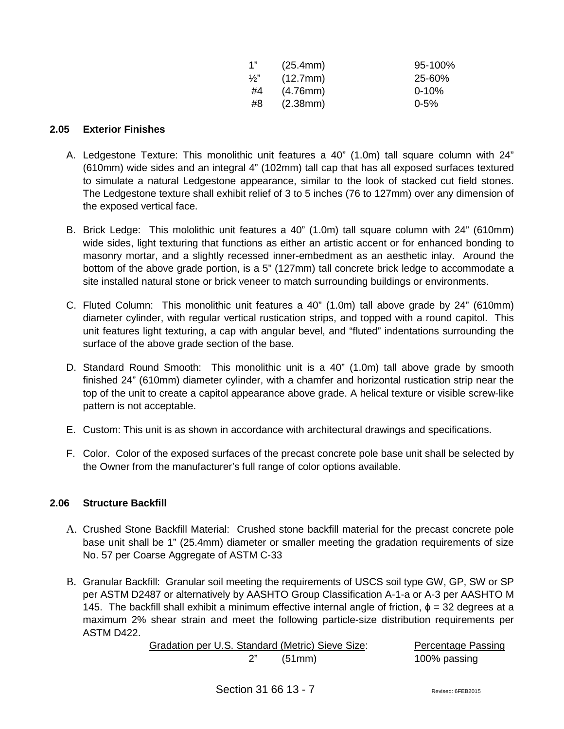| 1"            | (25.4mm) | $95 - 100%$ |
|---------------|----------|-------------|
| $\frac{1}{2}$ | (12.7mm) | 25-60%      |
| #4            | (4.76mm) | $0 - 10%$   |
| #8            | (2.38mm) | $0 - 5%$    |

### **2.05 Exterior Finishes**

- A. Ledgestone Texture: This monolithic unit features a 40" (1.0m) tall square column with 24" (610mm) wide sides and an integral 4" (102mm) tall cap that has all exposed surfaces textured to simulate a natural Ledgestone appearance, similar to the look of stacked cut field stones. The Ledgestone texture shall exhibit relief of 3 to 5 inches (76 to 127mm) over any dimension of the exposed vertical face.
- B. Brick Ledge: This mololithic unit features a 40" (1.0m) tall square column with 24" (610mm) wide sides, light texturing that functions as either an artistic accent or for enhanced bonding to masonry mortar, and a slightly recessed inner-embedment as an aesthetic inlay. Around the bottom of the above grade portion, is a 5" (127mm) tall concrete brick ledge to accommodate a site installed natural stone or brick veneer to match surrounding buildings or environments.
- C. Fluted Column: This monolithic unit features a 40" (1.0m) tall above grade by 24" (610mm) diameter cylinder, with regular vertical rustication strips, and topped with a round capitol. This unit features light texturing, a cap with angular bevel, and "fluted" indentations surrounding the surface of the above grade section of the base.
- D. Standard Round Smooth: This monolithic unit is a 40" (1.0m) tall above grade by smooth finished 24" (610mm) diameter cylinder, with a chamfer and horizontal rustication strip near the top of the unit to create a capitol appearance above grade. A helical texture or visible screw-like pattern is not acceptable.
- E. Custom: This unit is as shown in accordance with architectural drawings and specifications.
- F. Color. Color of the exposed surfaces of the precast concrete pole base unit shall be selected by the Owner from the manufacturer's full range of color options available.

# **2.06 Structure Backfill**

- A. Crushed Stone Backfill Material: Crushed stone backfill material for the precast concrete pole base unit shall be 1" (25.4mm) diameter or smaller meeting the gradation requirements of size No. 57 per Coarse Aggregate of ASTM C-33
- B. Granular Backfill: Granular soil meeting the requirements of USCS soil type GW, GP, SW or SP per ASTM D2487 or alternatively by AASHTO Group Classification A-1-a or A-3 per AASHTO M 145. The backfill shall exhibit a minimum effective internal angle of friction,  $\phi = 32$  degrees at a maximum 2% shear strain and meet the following particle-size distribution requirements per ASTM D422.

| Gradation per U.S. Standard (Metric) Sieve Size: |        | <b>Percentage Passing</b> |
|--------------------------------------------------|--------|---------------------------|
|                                                  | (51mm) | 100% passing              |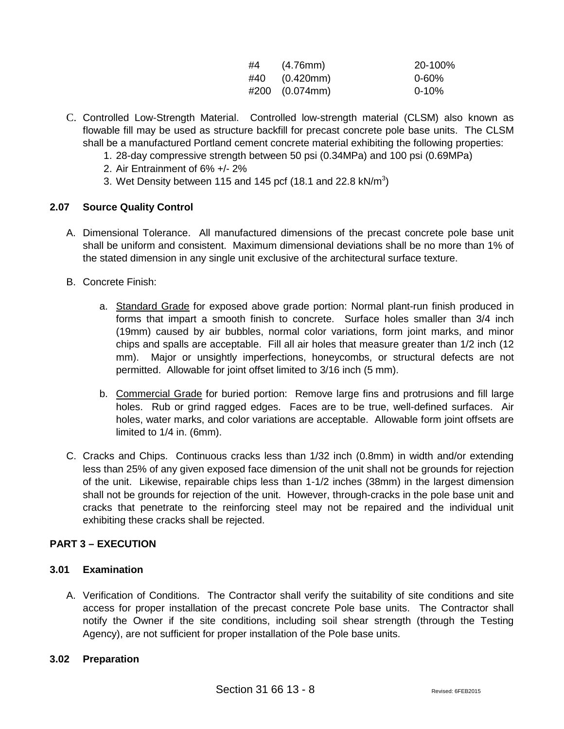| #4 | (4.76mm)        | 20-100%    |
|----|-----------------|------------|
|    | $#40$ (0.420mm) | $0 - 60\%$ |
|    | #200 (0.074mm)  | $0 - 10%$  |

- C. Controlled Low-Strength Material. Controlled low-strength material (CLSM) also known as flowable fill may be used as structure backfill for precast concrete pole base units. The CLSM shall be a manufactured Portland cement concrete material exhibiting the following properties:
	- 1. 28-day compressive strength between 50 psi (0.34MPa) and 100 psi (0.69MPa)
	- 2. Air Entrainment of 6% +/- 2%
	- 3. Wet Density between 115 and 145 pcf (18.1 and 22.8 kN/m<sup>3</sup>)

## **2.07 Source Quality Control**

- A. Dimensional Tolerance. All manufactured dimensions of the precast concrete pole base unit shall be uniform and consistent. Maximum dimensional deviations shall be no more than 1% of the stated dimension in any single unit exclusive of the architectural surface texture.
- B. Concrete Finish:
	- a. Standard Grade for exposed above grade portion: Normal plant-run finish produced in forms that impart a smooth finish to concrete. Surface holes smaller than 3/4 inch (19mm) caused by air bubbles, normal color variations, form joint marks, and minor chips and spalls are acceptable. Fill all air holes that measure greater than 1/2 inch (12 mm). Major or unsightly imperfections, honeycombs, or structural defects are not permitted. Allowable for joint offset limited to 3/16 inch (5 mm).
	- b. Commercial Grade for buried portion: Remove large fins and protrusions and fill large holes. Rub or grind ragged edges. Faces are to be true, well-defined surfaces. Air holes, water marks, and color variations are acceptable. Allowable form joint offsets are limited to 1/4 in. (6mm).
- C. Cracks and Chips. Continuous cracks less than 1/32 inch (0.8mm) in width and/or extending less than 25% of any given exposed face dimension of the unit shall not be grounds for rejection of the unit. Likewise, repairable chips less than 1-1/2 inches (38mm) in the largest dimension shall not be grounds for rejection of the unit. However, through-cracks in the pole base unit and cracks that penetrate to the reinforcing steel may not be repaired and the individual unit exhibiting these cracks shall be rejected.

# **PART 3 – EXECUTION**

### **3.01 Examination**

A. Verification of Conditions. The Contractor shall verify the suitability of site conditions and site access for proper installation of the precast concrete Pole base units. The Contractor shall notify the Owner if the site conditions, including soil shear strength (through the Testing Agency), are not sufficient for proper installation of the Pole base units.

### **3.02 Preparation**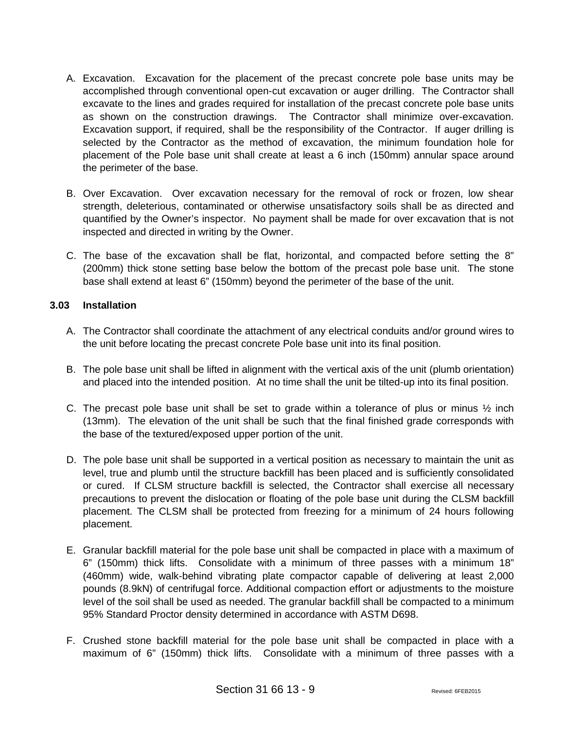- A. Excavation. Excavation for the placement of the precast concrete pole base units may be accomplished through conventional open-cut excavation or auger drilling. The Contractor shall excavate to the lines and grades required for installation of the precast concrete pole base units as shown on the construction drawings. The Contractor shall minimize over-excavation. Excavation support, if required, shall be the responsibility of the Contractor. If auger drilling is selected by the Contractor as the method of excavation, the minimum foundation hole for placement of the Pole base unit shall create at least a 6 inch (150mm) annular space around the perimeter of the base.
- B. Over Excavation. Over excavation necessary for the removal of rock or frozen, low shear strength, deleterious, contaminated or otherwise unsatisfactory soils shall be as directed and quantified by the Owner's inspector. No payment shall be made for over excavation that is not inspected and directed in writing by the Owner.
- C. The base of the excavation shall be flat, horizontal, and compacted before setting the 8" (200mm) thick stone setting base below the bottom of the precast pole base unit. The stone base shall extend at least 6" (150mm) beyond the perimeter of the base of the unit.

### **3.03 Installation**

- A. The Contractor shall coordinate the attachment of any electrical conduits and/or ground wires to the unit before locating the precast concrete Pole base unit into its final position.
- B. The pole base unit shall be lifted in alignment with the vertical axis of the unit (plumb orientation) and placed into the intended position. At no time shall the unit be tilted-up into its final position.
- C. The precast pole base unit shall be set to grade within a tolerance of plus or minus  $\frac{1}{2}$  inch (13mm). The elevation of the unit shall be such that the final finished grade corresponds with the base of the textured/exposed upper portion of the unit.
- D. The pole base unit shall be supported in a vertical position as necessary to maintain the unit as level, true and plumb until the structure backfill has been placed and is sufficiently consolidated or cured. If CLSM structure backfill is selected, the Contractor shall exercise all necessary precautions to prevent the dislocation or floating of the pole base unit during the CLSM backfill placement. The CLSM shall be protected from freezing for a minimum of 24 hours following placement.
- E. Granular backfill material for the pole base unit shall be compacted in place with a maximum of 6" (150mm) thick lifts. Consolidate with a minimum of three passes with a minimum 18" (460mm) wide, walk-behind vibrating plate compactor capable of delivering at least 2,000 pounds (8.9kN) of centrifugal force. Additional compaction effort or adjustments to the moisture level of the soil shall be used as needed. The granular backfill shall be compacted to a minimum 95% Standard Proctor density determined in accordance with ASTM D698.
- F. Crushed stone backfill material for the pole base unit shall be compacted in place with a maximum of 6" (150mm) thick lifts. Consolidate with a minimum of three passes with a